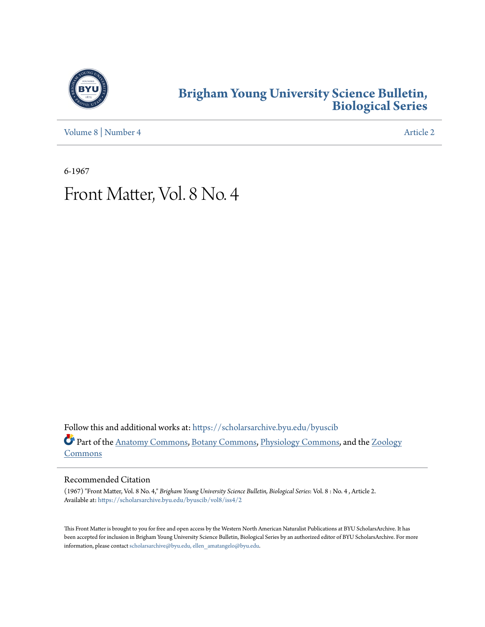

### **[Brigham Young University Science Bulletin,](https://scholarsarchive.byu.edu/byuscib?utm_source=scholarsarchive.byu.edu%2Fbyuscib%2Fvol8%2Fiss4%2F2&utm_medium=PDF&utm_campaign=PDFCoverPages) [Biological Series](https://scholarsarchive.byu.edu/byuscib?utm_source=scholarsarchive.byu.edu%2Fbyuscib%2Fvol8%2Fiss4%2F2&utm_medium=PDF&utm_campaign=PDFCoverPages)**

[Volume 8](https://scholarsarchive.byu.edu/byuscib/vol8?utm_source=scholarsarchive.byu.edu%2Fbyuscib%2Fvol8%2Fiss4%2F2&utm_medium=PDF&utm_campaign=PDFCoverPages) | [Number 4](https://scholarsarchive.byu.edu/byuscib/vol8/iss4?utm_source=scholarsarchive.byu.edu%2Fbyuscib%2Fvol8%2Fiss4%2F2&utm_medium=PDF&utm_campaign=PDFCoverPages) [Article 2](https://scholarsarchive.byu.edu/byuscib/vol8/iss4/2?utm_source=scholarsarchive.byu.edu%2Fbyuscib%2Fvol8%2Fiss4%2F2&utm_medium=PDF&utm_campaign=PDFCoverPages)

6-1967

## Front Matter, Vol. 8 No. 4

Follow this and additional works at: [https://scholarsarchive.byu.edu/byuscib](https://scholarsarchive.byu.edu/byuscib?utm_source=scholarsarchive.byu.edu%2Fbyuscib%2Fvol8%2Fiss4%2F2&utm_medium=PDF&utm_campaign=PDFCoverPages) Part of the [Anatomy Commons](http://network.bepress.com/hgg/discipline/903?utm_source=scholarsarchive.byu.edu%2Fbyuscib%2Fvol8%2Fiss4%2F2&utm_medium=PDF&utm_campaign=PDFCoverPages), [Botany Commons](http://network.bepress.com/hgg/discipline/104?utm_source=scholarsarchive.byu.edu%2Fbyuscib%2Fvol8%2Fiss4%2F2&utm_medium=PDF&utm_campaign=PDFCoverPages), [Physiology Commons,](http://network.bepress.com/hgg/discipline/69?utm_source=scholarsarchive.byu.edu%2Fbyuscib%2Fvol8%2Fiss4%2F2&utm_medium=PDF&utm_campaign=PDFCoverPages) and the [Zoology](http://network.bepress.com/hgg/discipline/81?utm_source=scholarsarchive.byu.edu%2Fbyuscib%2Fvol8%2Fiss4%2F2&utm_medium=PDF&utm_campaign=PDFCoverPages) [Commons](http://network.bepress.com/hgg/discipline/81?utm_source=scholarsarchive.byu.edu%2Fbyuscib%2Fvol8%2Fiss4%2F2&utm_medium=PDF&utm_campaign=PDFCoverPages)

#### Recommended Citation

(1967) "Front Matter, Vol. 8 No. 4," *Brigham Young University Science Bulletin, Biological Series*: Vol. 8 : No. 4 , Article 2. Available at: [https://scholarsarchive.byu.edu/byuscib/vol8/iss4/2](https://scholarsarchive.byu.edu/byuscib/vol8/iss4/2?utm_source=scholarsarchive.byu.edu%2Fbyuscib%2Fvol8%2Fiss4%2F2&utm_medium=PDF&utm_campaign=PDFCoverPages)

This Front Matter is brought to you for free and open access by the Western North American Naturalist Publications at BYU ScholarsArchive. It has been accepted for inclusion in Brigham Young University Science Bulletin, Biological Series by an authorized editor of BYU ScholarsArchive. For more information, please contact [scholarsarchive@byu.edu, ellen\\_amatangelo@byu.edu](mailto:scholarsarchive@byu.edu,%20ellen_amatangelo@byu.edu).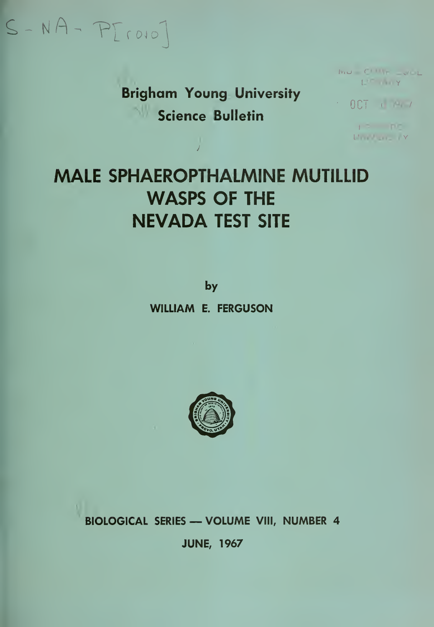# $S-NA-PT(0)$

**Brigham Young University** Science Bulletin

 $\mathbf{I}\mathbf{v}_1\mathbf{u} = \mathbf{C}^{\dagger} \mathbf{H} \mathbf{I} \mathbf{r} = \mathbf{v} \mathbf{H} \mathbf{L}$ **I'D WY** 

 $0CT + 4$ 

 $12 - 107$ **L'industrial**y

## **MALE SPHAEROPTHALMINE MUTILLID WASPS OF THE NEVADA TEST SITE**

by **WILLIAM E. FERGUSON** 



**BIOLOGICAL SERIES - VOLUME VIII, NUMBER 4** 

**JUNE, 1967**